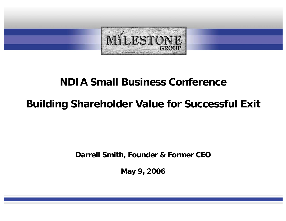

## **NDIA Small Business Conference**

# **Building Shareholder Value for Successful Exit**

**Darrell Smith, Founder & Former CEO**

**May 9, 2006**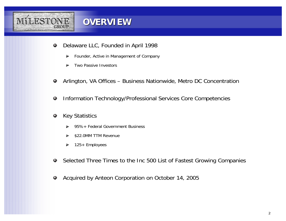

#### **OVERVIEW OVERVIEW**

- Delaware LLC, Founded in April 1998 ٠
	- Founder, Active in Management of Company ▶
	- Two Passive Investors
- Arlington, VA Offices Business Nationwide, Metro DC Concentration 0
- Information Technology/Professional Services Core Competencies 0
- Key Statistics 0
	- 95%+ Federal Government Business
	- \$22.0MM TTM Revenue
	- 125+ Employees ⋗
- Selected Three Times to the Inc 500 List of Fastest Growing Companies Ф
- Acquired by Anteon Corporation on October 14, 2005 ٠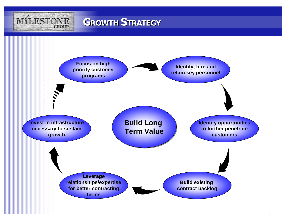

## **GROWTH STRATEGY**

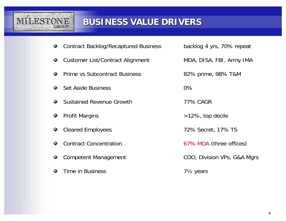

### **BUSINESS VALUE DRIVERS BUSINESS VALUE DRIVERS**

- Contract Backlog/Recaptured Business backlog 4 yrs, 70% repeat  $\bullet$
- Customer List/Contract Alignment MDA, DISA, FBI, Army IMA ۰
- Prime vs Subcontract Business 82% prime, 98% T&M ۰
- Set Aside Business 0%۰
- Sustained Revenue Growth 77% CAGR 0
- 0
- $\bullet$
- Contract Concentration $\bullet$
- ۰
- Time in Business 71/2 years ٥

- 
- 
- Profit Margins **Decimal Accord 2012** 22%, top decile
- Cleared Employees 72% Secret, 17% TS
	- 67% MDA (three offices)
- Competent Management COO, Division VPs, G&A Mgrs
	-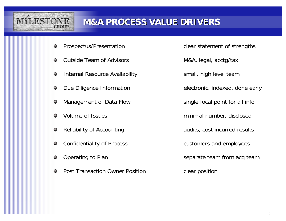

#### **M&A PROCESS VALUE DRIVERS M&A PROCESS VALUE DRIVERS**

- 0
- Outside Team of Advisors **M&A**, legal, acctg/tax ۰
- Internal Resource Availability **State School** Small, high level team ۰
- $\bullet$
- Management of Data Flow single focal point for all info 0
- ۰
- $\bullet$
- Confidentiality of Process customers and employees  $\bullet$
- ۰
- Post Transaction Owner Position **Constructed Constructed Position**

Prospectus/Presentation example and clear statement of strengths

- 
- 
- Due Diligence Information electronic, indexed, done early
	-
- Volume of Issues **minimal number**, disclosed
- Reliability of Accounting Reliability of Accounting audits, cost incurred results
	-
- Operating to Plan Separate team from acq team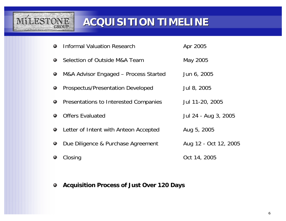

# **ACQUISITION TIMELINE ACQUISITION TIMELINE**

- Informal Valuation Research **Apr 2005** 0
- Selection of Outside M&A Team May 2005 0
- M&A Advisor Engaged Process Started Jun 6, 2005 ٠
- Prospectus/Presentation Developed Jul 8, 2005 ۰
- Presentations to Interested Companies Jul 11-20, 2005 0
- Offers Evaluated Jul 24 Aug 3, 2005 ۰
- Letter of Intent with Anteon Accepted Aug 5, 2005 ۰
- Due Diligence & Purchase Agreement Aug 12 Oct 12, 2005 ۰
- Closing Cost 14, 2005
- **Acquisition Process of Just Over 120 Days**